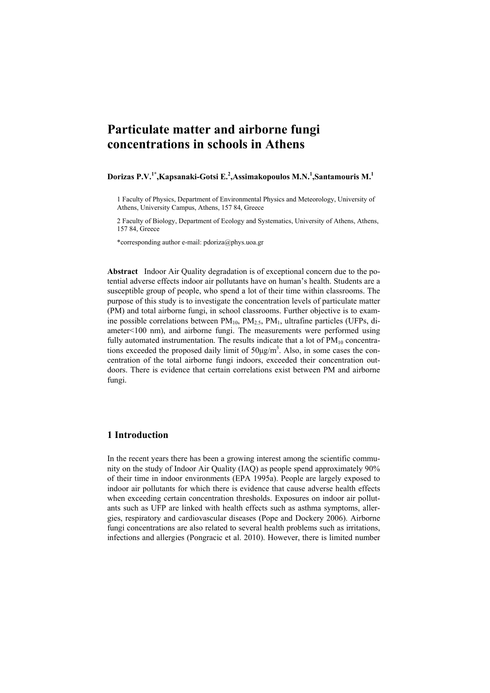# **Particulate matter and airborne fungi concentrations in schools in Athens**

### **Dorizas P.V.1\*,Kapsanaki-Gotsi E.2 ,Assimakopoulos M.N.<sup>1</sup> ,Santamouris M.1**

1 Faculty of Physics, Department of Environmental Physics and Meteorology, University of Athens, University Campus, Athens, 157 84, Greece

2 Faculty of Biology, Department of Ecology and Systematics, University of Athens, Athens, 157 84, Greece

\*corresponding author e-mail: pdoriza@phys.uoa.gr

**Abstract** Indoor Air Quality degradation is of exceptional concern due to the potential adverse effects indoor air pollutants have on human's health. Students are a susceptible group of people, who spend a lot of their time within classrooms. The purpose of this study is to investigate the concentration levels of particulate matter (PM) and total airborne fungi, in school classrooms. Further objective is to examine possible correlations between  $PM_{10}$ ,  $PM_{25}$ ,  $PM_{1}$ , ultrafine particles (UFPs, diameter<100 nm), and airborne fungi. The measurements were performed using fully automated instrumentation. The results indicate that a lot of  $PM_{10}$  concentrations exceeded the proposed daily limit of  $50\mu\text{g/m}^3$ . Also, in some cases the concentration of the total airborne fungi indoors, exceeded their concentration outdoors. There is evidence that certain correlations exist between PM and airborne fungi.

## **1 Introduction**

In the recent years there has been a growing interest among the scientific community on the study of Indoor Air Quality (IAQ) as people spend approximately 90% of their time in indoor environments (EPA 1995a). People are largely exposed to indoor air pollutants for which there is evidence that cause adverse health effects when exceeding certain concentration thresholds. Exposures on indoor air pollutants such as UFP are linked with health effects such as asthma symptoms, allergies, respiratory and cardiovascular diseases (Pope and Dockery 2006). Airborne fungi concentrations are also related to several health problems such as irritations, infections and allergies (Pongracic et al. 2010). However, there is limited number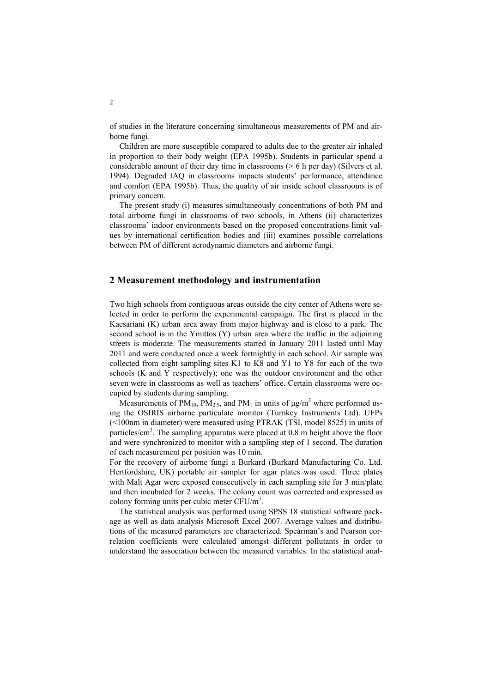of studies in the literature concerning simultaneous measurements of PM and airborne fungi.

Children are more susceptible compared to adults due to the greater air inhaled in proportion to their body weight (EPA 1995b). Students in particular spend a considerable amount of their day time in classrooms (> 6 h per day) (Silvers et al. 1994). Degraded IAQ in classrooms impacts students' performance, attendance and comfort (EPA 1995b). Thus, the quality of air inside school classrooms is of primary concern.

The present study (i) measures simultaneously concentrations of both PM and total airborne fungi in classrooms of two schools, in Athens (ii) characterizes classrooms' indoor environments based on the proposed concentrations limit values by international certification bodies and (iii) examines possible correlations between PM of different aerodynamic diameters and airborne fungi.

#### **2 Measurement methodology and instrumentation**

Two high schools from contiguous areas outside the city center of Athens were selected in order to perform the experimental campaign. The first is placed in the Kaesariani (K) urban area away from major highway and is close to a park. The second school is in the Ymittos (Y) urban area where the traffic in the adjoining streets is moderate. The measurements started in January 2011 lasted until May 2011 and were conducted once a week fortnightly in each school. Air sample was collected from eight sampling sites K1 to K8 and Y1 to Y8 for each of the two schools (K and Y respectively); one was the outdoor environment and the other seven were in classrooms as well as teachers' office. Certain classrooms were occupied by students during sampling.

Measurements of PM<sub>10</sub>, PM<sub>2.5</sub>, and PM<sub>1</sub> in units of  $\mu$ g/m<sup>3</sup> where performed using the OSIRIS airborne particulate monitor (Turnkey Instruments Ltd). UFPs (<100nm in diameter) were measured using PTRAK (TSI, model 8525) in units of particles/cm<sup>3</sup>. The sampling apparatus were placed at 0.8 m height above the floor and were synchronized to monitor with a sampling step of 1 second. The duration of each measurement per position was 10 min.

For the recovery of airborne fungi a Burkard (Burkard Manufacturing Co. Ltd. Hertfordshire, UK) portable air sampler for agar plates was used. Three plates with Malt Agar were exposed consecutively in each sampling site for 3 min/plate and then incubated for 2 weeks. The colony count was corrected and expressed as colony forming units per cubic meter  $CFU/m<sup>3</sup>$ .

The statistical analysis was performed using SPSS 18 statistical software package as well as data analysis Microsoft Excel 2007. Average values and distributions of the measured parameters are characterized. Spearman's and Pearson correlation coefficients were calculated amongst different pollutants in order to understand the association between the measured variables. In the statistical anal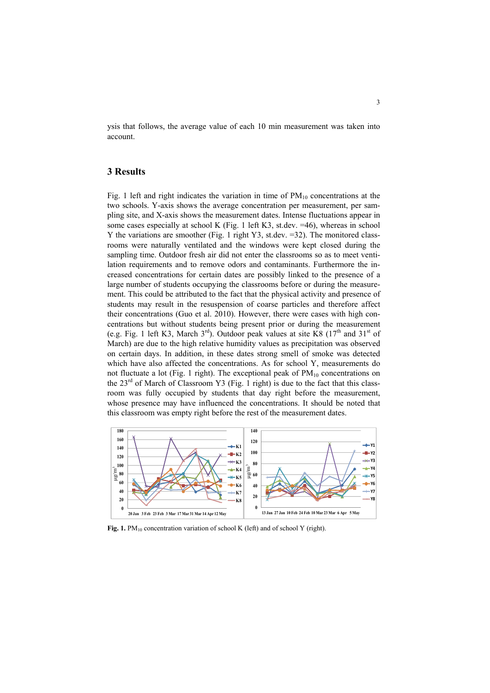ysis that follows, the average value of each 10 min measurement was taken into account.

## **3 Results**

Fig. 1 left and right indicates the variation in time of  $PM_{10}$  concentrations at the two schools. Y-axis shows the average concentration per measurement, per sampling site, and X-axis shows the measurement dates. Intense fluctuations appear in some cases especially at school K (Fig. 1 left K3, st.dev. =46), whereas in school Y the variations are smoother (Fig. 1 right Y3, st.dev. =32). The monitored classrooms were naturally ventilated and the windows were kept closed during the sampling time. Outdoor fresh air did not enter the classrooms so as to meet ventilation requirements and to remove odors and contaminants. Furthermore the increased concentrations for certain dates are possibly linked to the presence of a large number of students occupying the classrooms before or during the measurement. This could be attributed to the fact that the physical activity and presence of students may result in the resuspension of coarse particles and therefore affect their concentrations (Guo et al. 2010). However, there were cases with high concentrations but without students being present prior or during the measurement (e.g. Fig. 1 left K3, March  $3<sup>rd</sup>$ ). Outdoor peak values at site K8 ( $17<sup>th</sup>$  and  $31<sup>st</sup>$  of March) are due to the high relative humidity values as precipitation was observed on certain days. In addition, in these dates strong smell of smoke was detected which have also affected the concentrations. As for school Y, measurements do not fluctuate a lot (Fig. 1 right). The exceptional peak of  $PM_{10}$  concentrations on the  $23<sup>rd</sup>$  of March of Classroom Y3 (Fig. 1 right) is due to the fact that this classroom was fully occupied by students that day right before the measurement, whose presence may have influenced the concentrations. It should be noted that this classroom was empty right before the rest of the measurement dates.



Fig. 1. PM<sub>10</sub> concentration variation of school K (left) and of school Y (right).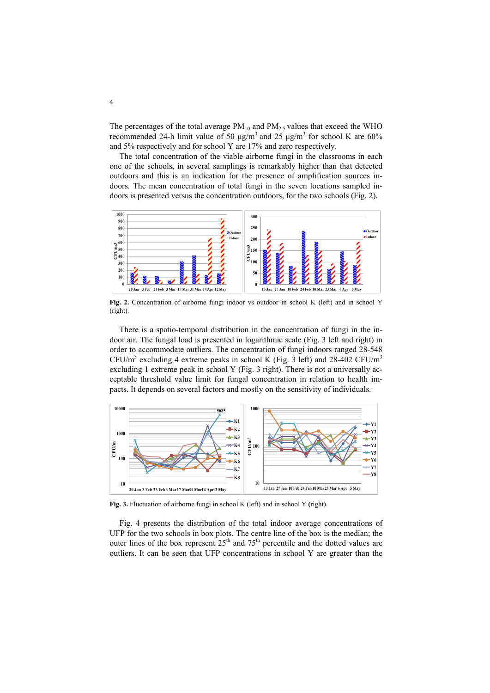The percentages of the total average  $PM_{10}$  and  $PM_{2.5}$  values that exceed the WHO recommended 24-h limit value of 50  $\mu$ g/m<sup>3</sup> and 25  $\mu$ g/m<sup>3</sup> for school K are 60% and 5% respectively and for school Y are 17% and zero respectively.

The total concentration of the viable airborne fungi in the classrooms in each one of the schools, in several samplings is remarkably higher than that detected outdoors and this is an indication for the presence of amplification sources indoors. The mean concentration of total fungi in the seven locations sampled indoors is presented versus the concentration outdoors, for the two schools (Fig. 2).



**Fig. 2.** Concentration of airborne fungi indoor vs outdoor in school K (left) and in school Y (right).

There is a spatio-temporal distribution in the concentration of fungi in the indoor air. The fungal load is presented in logarithmic scale (Fig. 3 left and right) in order to accommodate outliers. The concentration of fungi indoors ranged 28-548  $CFU/m<sup>3</sup>$  excluding 4 extreme peaks in school K (Fig. 3 left) and 28-402 CFU/m<sup>3</sup> excluding 1 extreme peak in school Y (Fig. 3 right). There is not a universally acceptable threshold value limit for fungal concentration in relation to health impacts. It depends on several factors and mostly on the sensitivity of individuals.



**Fig. 3.** Fluctuation of airborne fungi in school K (left) and in school Y **(**right).

Fig. 4 presents the distribution of the total indoor average concentrations of UFP for the two schools in box plots. The centre line of the box is the median; the outer lines of the box represent  $25<sup>th</sup>$  and  $75<sup>th</sup>$  percentile and the dotted values are outliers. It can be seen that UFP concentrations in school Y are greater than the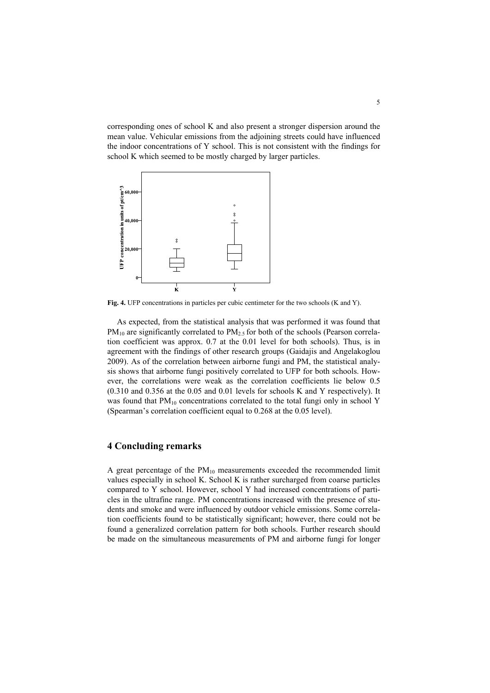corresponding ones of school K and also present a stronger dispersion around the mean value. Vehicular emissions from the adjoining streets could have influenced the indoor concentrations of Y school. This is not consistent with the findings for school K which seemed to be mostly charged by larger particles.



**Fig. 4.** UFP concentrations in particles per cubic centimeter for the two schools (K and Y).

As expected, from the statistical analysis that was performed it was found that  $PM_{10}$  are significantly correlated to  $PM_{2.5}$  for both of the schools (Pearson correlation coefficient was approx. 0.7 at the 0.01 level for both schools). Thus, is in agreement with the findings of other research groups (Gaidajis and Angelakoglou 2009). As of the correlation between airborne fungi and PM, the statistical analysis shows that airborne fungi positively correlated to UFP for both schools. However, the correlations were weak as the correlation coefficients lie below 0.5 (0.310 and 0.356 at the 0.05 and 0.01 levels for schools K and Y respectively). It was found that  $PM_{10}$  concentrations correlated to the total fungi only in school Y (Spearman's correlation coefficient equal to 0.268 at the 0.05 level).

## **4 Concluding remarks**

A great percentage of the  $PM_{10}$  measurements exceeded the recommended limit values especially in school K. School K is rather surcharged from coarse particles compared to Y school. However, school Y had increased concentrations of particles in the ultrafine range. PM concentrations increased with the presence of students and smoke and were influenced by outdoor vehicle emissions. Some correlation coefficients found to be statistically significant; however, there could not be found a generalized correlation pattern for both schools. Further research should be made on the simultaneous measurements of PM and airborne fungi for longer